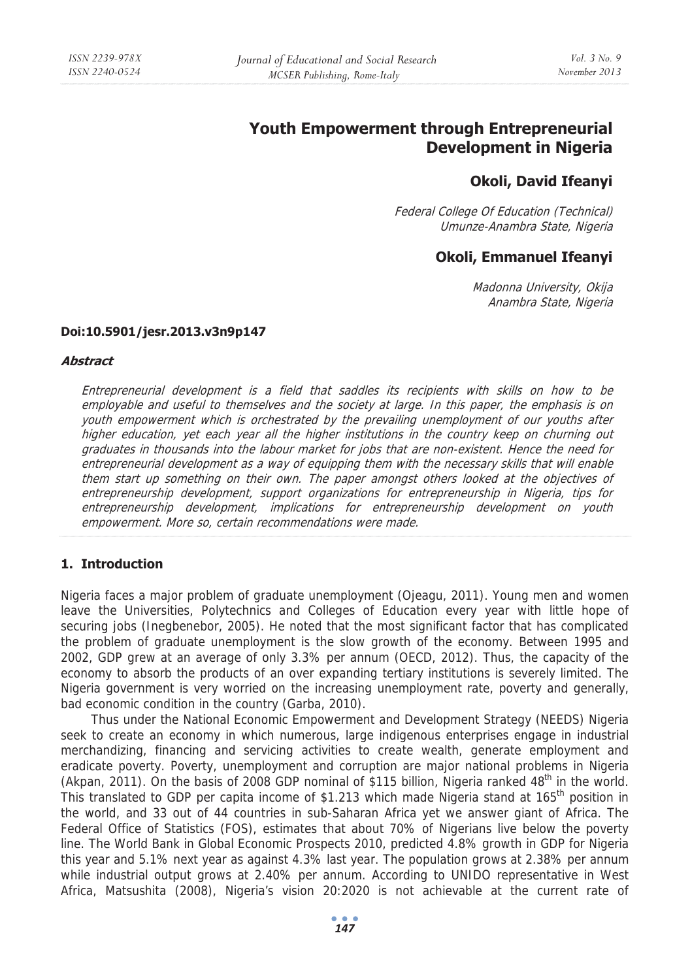# **Youth Empowerment through Entrepreneurial Development in Nigeria**

## **Okoli, David Ifeanyi**

Federal College Of Education (Technical) Umunze-Anambra State, Nigeria

# **Okoli, Emmanuel Ifeanyi**

Madonna University, Okija Anambra State, Nigeria

#### **Doi:10.5901/jesr.2013.v3n9p147**

#### **Abstract**

Entrepreneurial development is a field that saddles its recipients with skills on how to be employable and useful to themselves and the society at large. In this paper, the emphasis is on youth empowerment which is orchestrated by the prevailing unemployment of our youths after higher education, yet each year all the higher institutions in the country keep on churning out graduates in thousands into the labour market for jobs that are non-existent. Hence the need for entrepreneurial development as a way of equipping them with the necessary skills that will enable them start up something on their own. The paper amongst others looked at the objectives of entrepreneurship development, support organizations for entrepreneurship in Nigeria, tips for entrepreneurship development, implications for entrepreneurship development on youth empowerment. More so, certain recommendations were made.

#### **1. Introduction**

Nigeria faces a major problem of graduate unemployment (Ojeagu, 2011). Young men and women leave the Universities, Polytechnics and Colleges of Education every year with little hope of securing jobs (Inegbenebor, 2005). He noted that the most significant factor that has complicated the problem of graduate unemployment is the slow growth of the economy. Between 1995 and 2002, GDP grew at an average of only 3.3% per annum (OECD, 2012). Thus, the capacity of the economy to absorb the products of an over expanding tertiary institutions is severely limited. The Nigeria government is very worried on the increasing unemployment rate, poverty and generally, bad economic condition in the country (Garba, 2010).

Thus under the National Economic Empowerment and Development Strategy (NEEDS) Nigeria seek to create an economy in which numerous, large indigenous enterprises engage in industrial merchandizing, financing and servicing activities to create wealth, generate employment and eradicate poverty. Poverty, unemployment and corruption are major national problems in Nigeria (Akpan, 2011). On the basis of 2008 GDP nominal of \$115 billion, Nigeria ranked 48<sup>th</sup> in the world. This translated to GDP per capita income of \$1.213 which made Nigeria stand at 165<sup>th</sup> position in the world, and 33 out of 44 countries in sub-Saharan Africa yet we answer giant of Africa. The Federal Office of Statistics (FOS), estimates that about 70% of Nigerians live below the poverty line. The World Bank in Global Economic Prospects 2010, predicted 4.8% growth in GDP for Nigeria this year and 5.1% next year as against 4.3% last year. The population grows at 2.38% per annum while industrial output grows at 2.40% per annum. According to UNIDO representative in West Africa, Matsushita (2008), Nigeria's vision 20:2020 is not achievable at the current rate of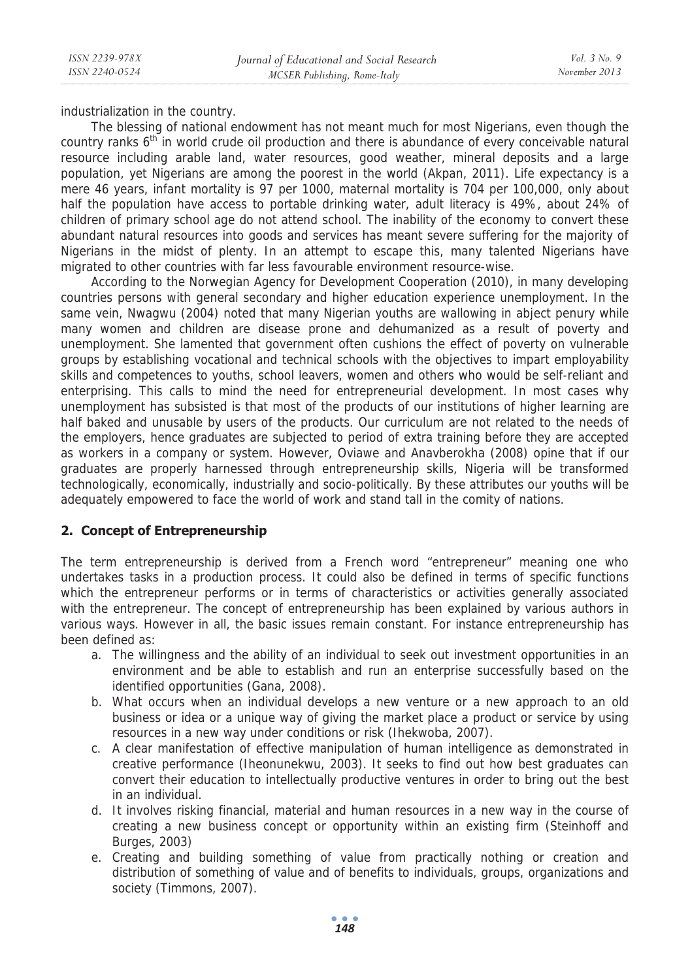industrialization in the country.

The blessing of national endowment has not meant much for most Nigerians, even though the country ranks 6<sup>th</sup> in world crude oil production and there is abundance of every conceivable natural resource including arable land, water resources, good weather, mineral deposits and a large population, yet Nigerians are among the poorest in the world (Akpan, 2011). Life expectancy is a mere 46 years, infant mortality is 97 per 1000, maternal mortality is 704 per 100,000, only about half the population have access to portable drinking water, adult literacy is 49%, about 24% of children of primary school age do not attend school. The inability of the economy to convert these abundant natural resources into goods and services has meant severe suffering for the majority of Nigerians in the midst of plenty. In an attempt to escape this, many talented Nigerians have migrated to other countries with far less favourable environment resource-wise.

According to the Norwegian Agency for Development Cooperation (2010), in many developing countries persons with general secondary and higher education experience unemployment. In the same vein, Nwagwu (2004) noted that many Nigerian youths are wallowing in abject penury while many women and children are disease prone and dehumanized as a result of poverty and unemployment. She lamented that government often cushions the effect of poverty on vulnerable groups by establishing vocational and technical schools with the objectives to impart employability skills and competences to youths, school leavers, women and others who would be self-reliant and enterprising. This calls to mind the need for entrepreneurial development. In most cases why unemployment has subsisted is that most of the products of our institutions of higher learning are half baked and unusable by users of the products. Our curriculum are not related to the needs of the employers, hence graduates are subjected to period of extra training before they are accepted as workers in a company or system. However, Oviawe and Anavberokha (2008) opine that if our graduates are properly harnessed through entrepreneurship skills, Nigeria will be transformed technologically, economically, industrially and socio-politically. By these attributes our youths will be adequately empowered to face the world of work and stand tall in the comity of nations.

### **2. Concept of Entrepreneurship**

The term entrepreneurship is derived from a French word "entrepreneur" meaning one who undertakes tasks in a production process. It could also be defined in terms of specific functions which the entrepreneur performs or in terms of characteristics or activities generally associated with the entrepreneur. The concept of entrepreneurship has been explained by various authors in various ways. However in all, the basic issues remain constant. For instance entrepreneurship has been defined as:

- a. The willingness and the ability of an individual to seek out investment opportunities in an environment and be able to establish and run an enterprise successfully based on the identified opportunities (Gana, 2008).
- b. What occurs when an individual develops a new venture or a new approach to an old business or idea or a unique way of giving the market place a product or service by using resources in a new way under conditions or risk (Ihekwoba, 2007).
- c. A clear manifestation of effective manipulation of human intelligence as demonstrated in creative performance (Iheonunekwu, 2003). It seeks to find out how best graduates can convert their education to intellectually productive ventures in order to bring out the best in an individual.
- d. It involves risking financial, material and human resources in a new way in the course of creating a new business concept or opportunity within an existing firm (Steinhoff and Burges, 2003)
- e. Creating and building something of value from practically nothing or creation and distribution of something of value and of benefits to individuals, groups, organizations and society (Timmons, 2007).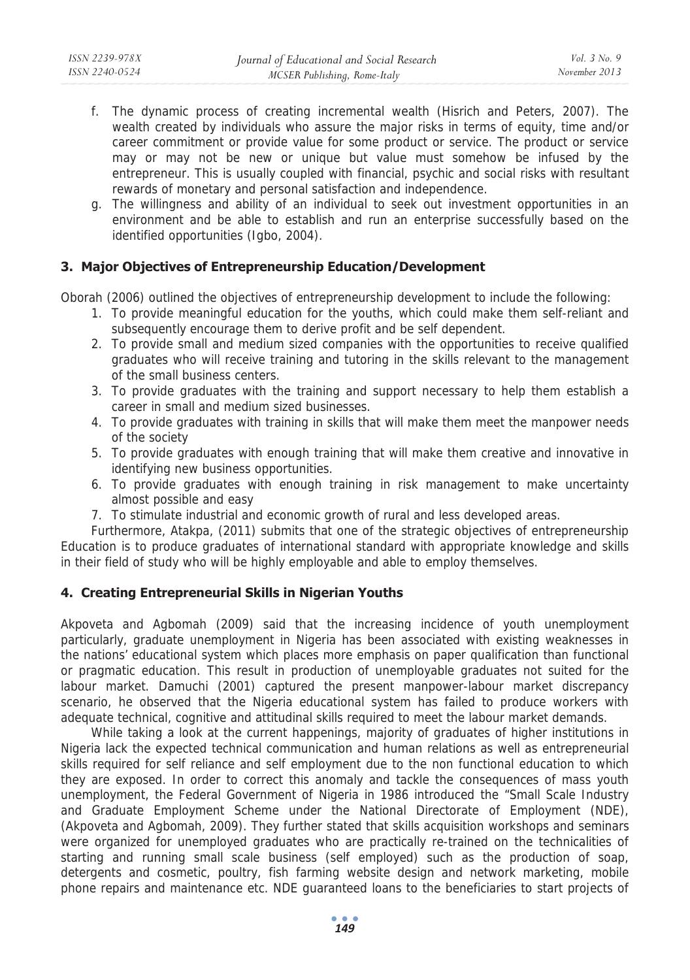- f. The dynamic process of creating incremental wealth (Hisrich and Peters, 2007). The wealth created by individuals who assure the major risks in terms of equity, time and/or career commitment or provide value for some product or service. The product or service may or may not be new or unique but value must somehow be infused by the entrepreneur. This is usually coupled with financial, psychic and social risks with resultant rewards of monetary and personal satisfaction and independence.
- g. The willingness and ability of an individual to seek out investment opportunities in an environment and be able to establish and run an enterprise successfully based on the identified opportunities (Igbo, 2004).

#### **3. Major Objectives of Entrepreneurship Education/Development**

Oborah (2006) outlined the objectives of entrepreneurship development to include the following:

- 1. To provide meaningful education for the youths, which could make them self-reliant and subsequently encourage them to derive profit and be self dependent.
- 2. To provide small and medium sized companies with the opportunities to receive qualified graduates who will receive training and tutoring in the skills relevant to the management of the small business centers.
- 3. To provide graduates with the training and support necessary to help them establish a career in small and medium sized businesses.
- 4. To provide graduates with training in skills that will make them meet the manpower needs of the society
- 5. To provide graduates with enough training that will make them creative and innovative in identifying new business opportunities.
- 6. To provide graduates with enough training in risk management to make uncertainty almost possible and easy
- 7. To stimulate industrial and economic growth of rural and less developed areas.

Furthermore, Atakpa, (2011) submits that one of the strategic objectives of entrepreneurship Education is to produce graduates of international standard with appropriate knowledge and skills in their field of study who will be highly employable and able to employ themselves.

### **4. Creating Entrepreneurial Skills in Nigerian Youths**

Akpoveta and Agbomah (2009) said that the increasing incidence of youth unemployment particularly, graduate unemployment in Nigeria has been associated with existing weaknesses in the nations' educational system which places more emphasis on paper qualification than functional or pragmatic education. This result in production of unemployable graduates not suited for the labour market. Damuchi (2001) captured the present manpower-labour market discrepancy scenario, he observed that the Nigeria educational system has failed to produce workers with adequate technical, cognitive and attitudinal skills required to meet the labour market demands.

While taking a look at the current happenings, majority of graduates of higher institutions in Nigeria lack the expected technical communication and human relations as well as entrepreneurial skills required for self reliance and self employment due to the non functional education to which they are exposed. In order to correct this anomaly and tackle the consequences of mass youth unemployment, the Federal Government of Nigeria in 1986 introduced the "Small Scale Industry and Graduate Employment Scheme under the National Directorate of Employment (NDE), (Akpoveta and Agbomah, 2009). They further stated that skills acquisition workshops and seminars were organized for unemployed graduates who are practically re-trained on the technicalities of starting and running small scale business (self employed) such as the production of soap, detergents and cosmetic, poultry, fish farming website design and network marketing, mobile phone repairs and maintenance etc. NDE guaranteed loans to the beneficiaries to start projects of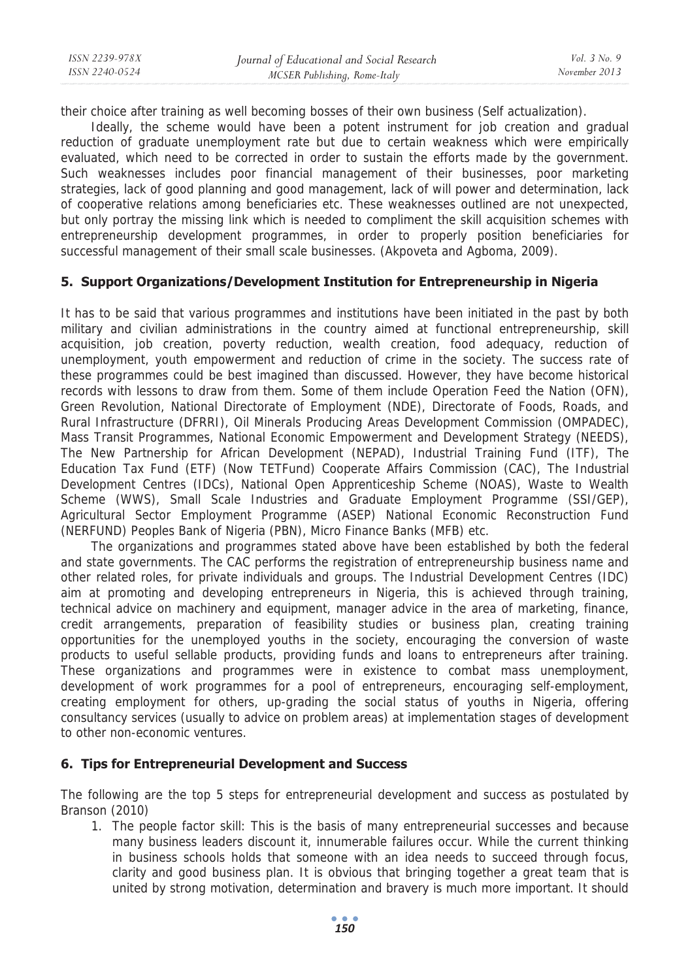their choice after training as well becoming bosses of their own business (Self actualization).

Ideally, the scheme would have been a potent instrument for job creation and gradual reduction of graduate unemployment rate but due to certain weakness which were empirically evaluated, which need to be corrected in order to sustain the efforts made by the government. Such weaknesses includes poor financial management of their businesses, poor marketing strategies, lack of good planning and good management, lack of will power and determination, lack of cooperative relations among beneficiaries etc. These weaknesses outlined are not unexpected, but only portray the missing link which is needed to compliment the skill acquisition schemes with entrepreneurship development programmes, in order to properly position beneficiaries for successful management of their small scale businesses. (Akpoveta and Agboma, 2009).

#### **5. Support Organizations/Development Institution for Entrepreneurship in Nigeria**

It has to be said that various programmes and institutions have been initiated in the past by both military and civilian administrations in the country aimed at functional entrepreneurship, skill acquisition, job creation, poverty reduction, wealth creation, food adequacy, reduction of unemployment, youth empowerment and reduction of crime in the society. The success rate of these programmes could be best imagined than discussed. However, they have become historical records with lessons to draw from them. Some of them include Operation Feed the Nation (OFN), Green Revolution, National Directorate of Employment (NDE), Directorate of Foods, Roads, and Rural Infrastructure (DFRRI), Oil Minerals Producing Areas Development Commission (OMPADEC), Mass Transit Programmes, National Economic Empowerment and Development Strategy (NEEDS), The New Partnership for African Development (NEPAD), Industrial Training Fund (ITF), The Education Tax Fund (ETF) (Now TETFund) Cooperate Affairs Commission (CAC), The Industrial Development Centres (IDCs), National Open Apprenticeship Scheme (NOAS), Waste to Wealth Scheme (WWS), Small Scale Industries and Graduate Employment Programme (SSI/GEP), Agricultural Sector Employment Programme (ASEP) National Economic Reconstruction Fund (NERFUND) Peoples Bank of Nigeria (PBN), Micro Finance Banks (MFB) etc.

The organizations and programmes stated above have been established by both the federal and state governments. The CAC performs the registration of entrepreneurship business name and other related roles, for private individuals and groups. The Industrial Development Centres (IDC) aim at promoting and developing entrepreneurs in Nigeria, this is achieved through training, technical advice on machinery and equipment, manager advice in the area of marketing, finance, credit arrangements, preparation of feasibility studies or business plan, creating training opportunities for the unemployed youths in the society, encouraging the conversion of waste products to useful sellable products, providing funds and loans to entrepreneurs after training. These organizations and programmes were in existence to combat mass unemployment, development of work programmes for a pool of entrepreneurs, encouraging self-employment, creating employment for others, up-grading the social status of youths in Nigeria, offering consultancy services (usually to advice on problem areas) at implementation stages of development to other non-economic ventures.

#### **6. Tips for Entrepreneurial Development and Success**

The following are the top 5 steps for entrepreneurial development and success as postulated by Branson (2010)

1. The people factor skill: This is the basis of many entrepreneurial successes and because many business leaders discount it, innumerable failures occur. While the current thinking in business schools holds that someone with an idea needs to succeed through focus, clarity and good business plan. It is obvious that bringing together a great team that is united by strong motivation, determination and bravery is much more important. It should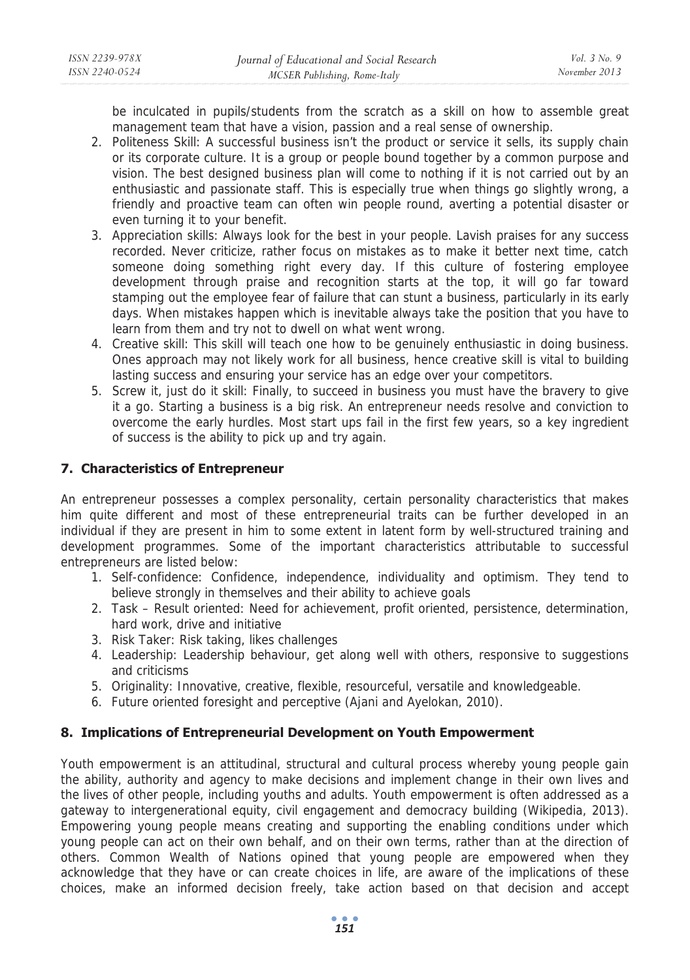be inculcated in pupils/students from the scratch as a skill on how to assemble great management team that have a vision, passion and a real sense of ownership.

- 2. Politeness Skill: A successful business isn't the product or service it sells, its supply chain or its corporate culture. It is a group or people bound together by a common purpose and vision. The best designed business plan will come to nothing if it is not carried out by an enthusiastic and passionate staff. This is especially true when things go slightly wrong, a friendly and proactive team can often win people round, averting a potential disaster or even turning it to your benefit.
- 3. Appreciation skills: Always look for the best in your people. Lavish praises for any success recorded. Never criticize, rather focus on mistakes as to make it better next time, catch someone doing something right every day. If this culture of fostering employee development through praise and recognition starts at the top, it will go far toward stamping out the employee fear of failure that can stunt a business, particularly in its early days. When mistakes happen which is inevitable always take the position that you have to learn from them and try not to dwell on what went wrong.
- 4. Creative skill: This skill will teach one how to be genuinely enthusiastic in doing business. Ones approach may not likely work for all business, hence creative skill is vital to building lasting success and ensuring your service has an edge over your competitors.
- 5. Screw it, just do it skill: Finally, to succeed in business you must have the bravery to give it a go. Starting a business is a big risk. An entrepreneur needs resolve and conviction to overcome the early hurdles. Most start ups fail in the first few years, so a key ingredient of success is the ability to pick up and try again.

### **7. Characteristics of Entrepreneur**

An entrepreneur possesses a complex personality, certain personality characteristics that makes him quite different and most of these entrepreneurial traits can be further developed in an individual if they are present in him to some extent in latent form by well-structured training and development programmes. Some of the important characteristics attributable to successful entrepreneurs are listed below:

- 1. Self-confidence: Confidence, independence, individuality and optimism. They tend to believe strongly in themselves and their ability to achieve goals
- 2. Task Result oriented: Need for achievement, profit oriented, persistence, determination, hard work, drive and initiative
- 3. Risk Taker: Risk taking, likes challenges
- 4. Leadership: Leadership behaviour, get along well with others, responsive to suggestions and criticisms
- 5. Originality: Innovative, creative, flexible, resourceful, versatile and knowledgeable.
- 6. Future oriented foresight and perceptive (Ajani and Ayelokan, 2010).

### **8. Implications of Entrepreneurial Development on Youth Empowerment**

Youth empowerment is an attitudinal, structural and cultural process whereby young people gain the ability, authority and agency to make decisions and implement change in their own lives and the lives of other people, including youths and adults. Youth empowerment is often addressed as a gateway to intergenerational equity, civil engagement and democracy building (Wikipedia, 2013). Empowering young people means creating and supporting the enabling conditions under which young people can act on their own behalf, and on their own terms, rather than at the direction of others. Common Wealth of Nations opined that young people are empowered when they acknowledge that they have or can create choices in life, are aware of the implications of these choices, make an informed decision freely, take action based on that decision and accept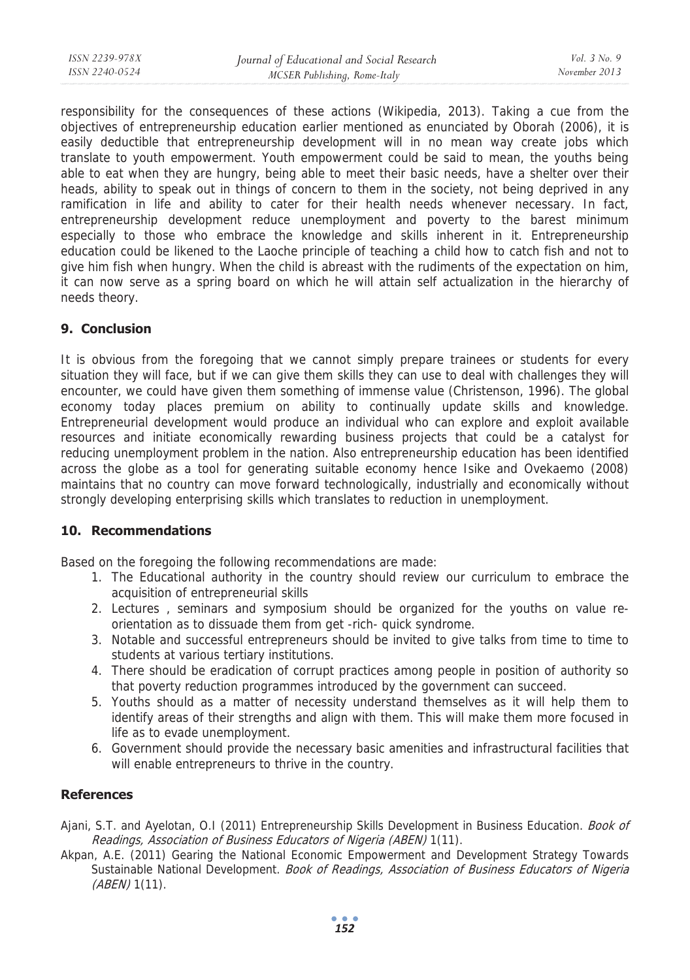responsibility for the consequences of these actions (Wikipedia, 2013). Taking a cue from the objectives of entrepreneurship education earlier mentioned as enunciated by Oborah (2006), it is easily deductible that entrepreneurship development will in no mean way create jobs which translate to youth empowerment. Youth empowerment could be said to mean, the youths being able to eat when they are hungry, being able to meet their basic needs, have a shelter over their heads, ability to speak out in things of concern to them in the society, not being deprived in any ramification in life and ability to cater for their health needs whenever necessary. In fact, entrepreneurship development reduce unemployment and poverty to the barest minimum especially to those who embrace the knowledge and skills inherent in it. Entrepreneurship education could be likened to the Laoche principle of teaching a child how to catch fish and not to give him fish when hungry. When the child is abreast with the rudiments of the expectation on him, it can now serve as a spring board on which he will attain self actualization in the hierarchy of needs theory.

### **9. Conclusion**

It is obvious from the foregoing that we cannot simply prepare trainees or students for every situation they will face, but if we can give them skills they can use to deal with challenges they will encounter, we could have given them something of immense value (Christenson, 1996). The global economy today places premium on ability to continually update skills and knowledge. Entrepreneurial development would produce an individual who can explore and exploit available resources and initiate economically rewarding business projects that could be a catalyst for reducing unemployment problem in the nation. Also entrepreneurship education has been identified across the globe as a tool for generating suitable economy hence Isike and Ovekaemo (2008) maintains that no country can move forward technologically, industrially and economically without strongly developing enterprising skills which translates to reduction in unemployment.

### **10. Recommendations**

Based on the foregoing the following recommendations are made:

- 1. The Educational authority in the country should review our curriculum to embrace the acquisition of entrepreneurial skills
- 2. Lectures , seminars and symposium should be organized for the youths on value reorientation as to dissuade them from get -rich- quick syndrome.
- 3. Notable and successful entrepreneurs should be invited to give talks from time to time to students at various tertiary institutions.
- 4. There should be eradication of corrupt practices among people in position of authority so that poverty reduction programmes introduced by the government can succeed.
- 5. Youths should as a matter of necessity understand themselves as it will help them to identify areas of their strengths and align with them. This will make them more focused in life as to evade unemployment.
- 6. Government should provide the necessary basic amenities and infrastructural facilities that will enable entrepreneurs to thrive in the country.

### **References**

- Ajani, S.T. and Ayelotan, O.I (2011) Entrepreneurship Skills Development in Business Education. Book of Readings, Association of Business Educators of Nigeria (ABEN) 1(11).
- Akpan, A.E. (2011) Gearing the National Economic Empowerment and Development Strategy Towards Sustainable National Development. Book of Readings, Association of Business Educators of Nigeria (ABEN) 1(11).